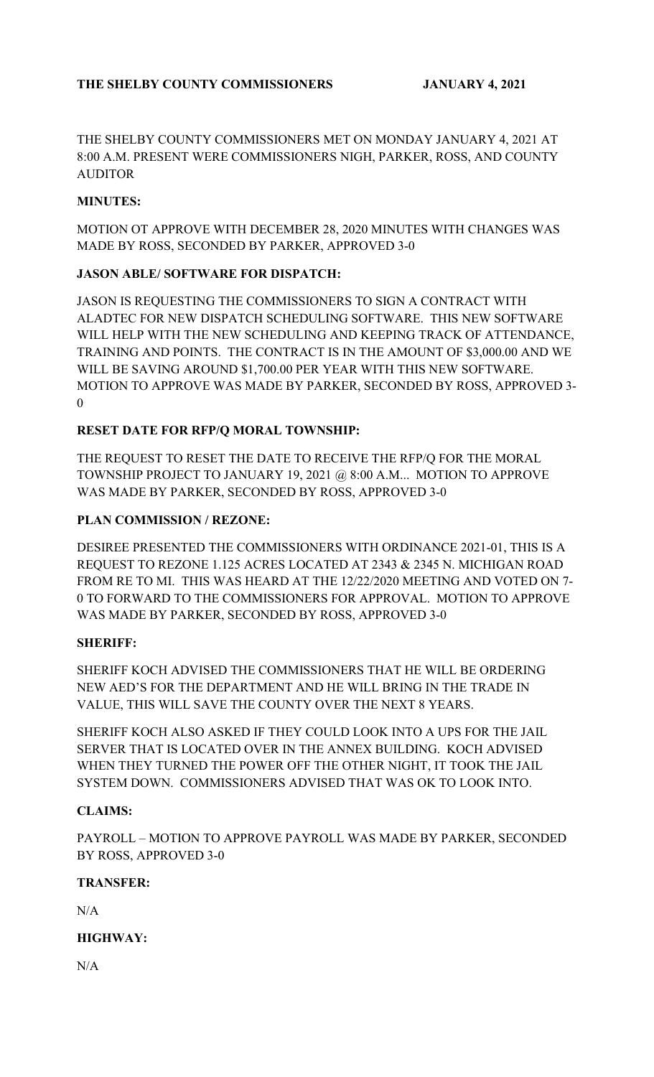THE SHELBY COUNTY COMMISSIONERS MET ON MONDAY JANUARY 4, 2021 AT 8:00 A.M. PRESENT WERE COMMISSIONERS NIGH, PARKER, ROSS, AND COUNTY **AUDITOR** 

## **MINUTES:**

MOTION OT APPROVE WITH DECEMBER 28, 2020 MINUTES WITH CHANGES WAS MADE BY ROSS, SECONDED BY PARKER, APPROVED 3-0

## **JASON ABLE/ SOFTWARE FOR DISPATCH:**

JASON IS REQUESTING THE COMMISSIONERS TO SIGN A CONTRACT WITH ALADTEC FOR NEW DISPATCH SCHEDULING SOFTWARE. THIS NEW SOFTWARE WILL HELP WITH THE NEW SCHEDULING AND KEEPING TRACK OF ATTENDANCE, TRAINING AND POINTS. THE CONTRACT IS IN THE AMOUNT OF \$3,000.00 AND WE WILL BE SAVING AROUND \$1,700.00 PER YEAR WITH THIS NEW SOFTWARE. MOTION TO APPROVE WAS MADE BY PARKER, SECONDED BY ROSS, APPROVED 3- 0

## **RESET DATE FOR RFP/Q MORAL TOWNSHIP:**

THE REQUEST TO RESET THE DATE TO RECEIVE THE RFP/Q FOR THE MORAL TOWNSHIP PROJECT TO JANUARY 19, 2021 @ 8:00 A.M... MOTION TO APPROVE WAS MADE BY PARKER, SECONDED BY ROSS, APPROVED 3-0

## **PLAN COMMISSION / REZONE:**

DESIREE PRESENTED THE COMMISSIONERS WITH ORDINANCE 2021-01, THIS IS A REQUEST TO REZONE 1.125 ACRES LOCATED AT 2343 & 2345 N. MICHIGAN ROAD FROM RE TO MI. THIS WAS HEARD AT THE 12/22/2020 MEETING AND VOTED ON 7- 0 TO FORWARD TO THE COMMISSIONERS FOR APPROVAL. MOTION TO APPROVE WAS MADE BY PARKER, SECONDED BY ROSS, APPROVED 3-0

### **SHERIFF:**

SHERIFF KOCH ADVISED THE COMMISSIONERS THAT HE WILL BE ORDERING NEW AED'S FOR THE DEPARTMENT AND HE WILL BRING IN THE TRADE IN VALUE, THIS WILL SAVE THE COUNTY OVER THE NEXT 8 YEARS.

SHERIFF KOCH ALSO ASKED IF THEY COULD LOOK INTO A UPS FOR THE JAIL SERVER THAT IS LOCATED OVER IN THE ANNEX BUILDING. KOCH ADVISED WHEN THEY TURNED THE POWER OFF THE OTHER NIGHT, IT TOOK THE JAIL SYSTEM DOWN. COMMISSIONERS ADVISED THAT WAS OK TO LOOK INTO.

### **CLAIMS:**

PAYROLL – MOTION TO APPROVE PAYROLL WAS MADE BY PARKER, SECONDED BY ROSS, APPROVED 3-0

### **TRANSFER:**

 $N/A$ 

# **HIGHWAY:**

N/A